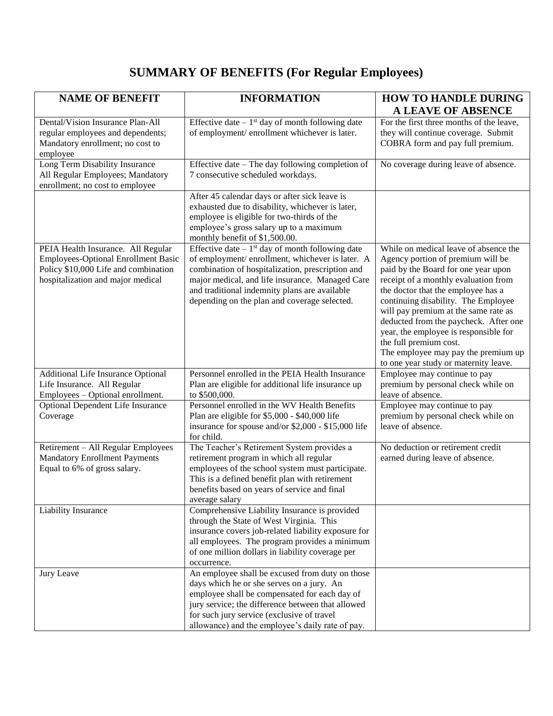## **SUMMARY OF BENEFITS (For Regular Employees)**

| <b>NAME OF BENEFIT</b>                                                                                                                                        | <b>INFORMATION</b>                                                                                                                                                                                                                                                                                                       | <b>HOW TO HANDLE DURING</b>                                                                                                                                                                                                                                                                                                                                                                                                                                                |
|---------------------------------------------------------------------------------------------------------------------------------------------------------------|--------------------------------------------------------------------------------------------------------------------------------------------------------------------------------------------------------------------------------------------------------------------------------------------------------------------------|----------------------------------------------------------------------------------------------------------------------------------------------------------------------------------------------------------------------------------------------------------------------------------------------------------------------------------------------------------------------------------------------------------------------------------------------------------------------------|
| Dental/Vision Insurance Plan-All                                                                                                                              | Effective date $-1$ <sup>st</sup> day of month following date                                                                                                                                                                                                                                                            | A LEAVE OF ABSENCE<br>For the first three months of the leave,                                                                                                                                                                                                                                                                                                                                                                                                             |
| regular employees and dependents;<br>Mandatory enrollment; no cost to<br>employee                                                                             | of employment/enrollment whichever is later.                                                                                                                                                                                                                                                                             | they will continue coverage. Submit<br>COBRA form and pay full premium.                                                                                                                                                                                                                                                                                                                                                                                                    |
| Long Term Disability Insurance<br>All Regular Employees; Mandatory<br>enrollment; no cost to employee                                                         | Effective date – The day following completion of<br>7 consecutive scheduled workdays.                                                                                                                                                                                                                                    | No coverage during leave of absence.                                                                                                                                                                                                                                                                                                                                                                                                                                       |
|                                                                                                                                                               | After 45 calendar days or after sick leave is<br>exhausted due to disability, whichever is later,<br>employee is eligible for two-thirds of the<br>employee's gross salary up to a maximum<br>monthly benefit of \$1,500.00.                                                                                             |                                                                                                                                                                                                                                                                                                                                                                                                                                                                            |
| PEIA Health Insurance. All Regular<br><b>Employees-Optional Enrollment Basic</b><br>Policy \$10,000 Life and combination<br>hospitalization and major medical | Effective date $-1$ <sup>st</sup> day of month following date<br>of employment/enrollment, whichever is later. A<br>combination of hospitalization, prescription and<br>major medical, and life insurance. Managed Care<br>and traditional indemnity plans are available<br>depending on the plan and coverage selected. | While on medical leave of absence the<br>Agency portion of premium will be<br>paid by the Board for one year upon<br>receipt of a monthly evaluation from<br>the doctor that the employee has a<br>continuing disability. The Employee<br>will pay premium at the same rate as<br>deducted from the paycheck. After one<br>year, the employee is responsible for<br>the full premium cost.<br>The employee may pay the premium up<br>to one year study or maternity leave. |
| Additional Life Insurance Optional<br>Life Insurance. All Regular<br>Employees - Optional enrollment.                                                         | Personnel enrolled in the PEIA Health Insurance<br>Plan are eligible for additional life insurance up<br>to \$500,000.                                                                                                                                                                                                   | Employee may continue to pay<br>premium by personal check while on<br>leave of absence.                                                                                                                                                                                                                                                                                                                                                                                    |
| Optional Dependent Life Insurance<br>Coverage                                                                                                                 | Personnel enrolled in the WV Health Benefits<br>Plan are eligible for \$5,000 - \$40,000 life<br>insurance for spouse and/or \$2,000 - \$15,000 life<br>for child.                                                                                                                                                       | Employee may continue to pay<br>premium by personal check while on<br>leave of absence.                                                                                                                                                                                                                                                                                                                                                                                    |
| Retirement - All Regular Employees<br><b>Mandatory Enrollment Payments</b><br>Equal to 6% of gross salary.                                                    | The Teacher's Retirement System provides a<br>retirement program in which all regular<br>employees of the school system must participate.<br>This is a defined benefit plan with retirement<br>benefits based on years of service and final<br>average salary                                                            | No deduction or retirement credit<br>earned during leave of absence.                                                                                                                                                                                                                                                                                                                                                                                                       |
| Liability Insurance                                                                                                                                           | Comprehensive Liability Insurance is provided<br>through the State of West Virginia. This<br>insurance covers job-related liability exposure for<br>all employees. The program provides a minimum<br>of one million dollars in liability coverage per<br>occurrence.                                                     |                                                                                                                                                                                                                                                                                                                                                                                                                                                                            |
| Jury Leave                                                                                                                                                    | An employee shall be excused from duty on those<br>days which he or she serves on a jury. An<br>employee shall be compensated for each day of<br>jury service; the difference between that allowed<br>for such jury service (exclusive of travel<br>allowance) and the employee's daily rate of pay.                     |                                                                                                                                                                                                                                                                                                                                                                                                                                                                            |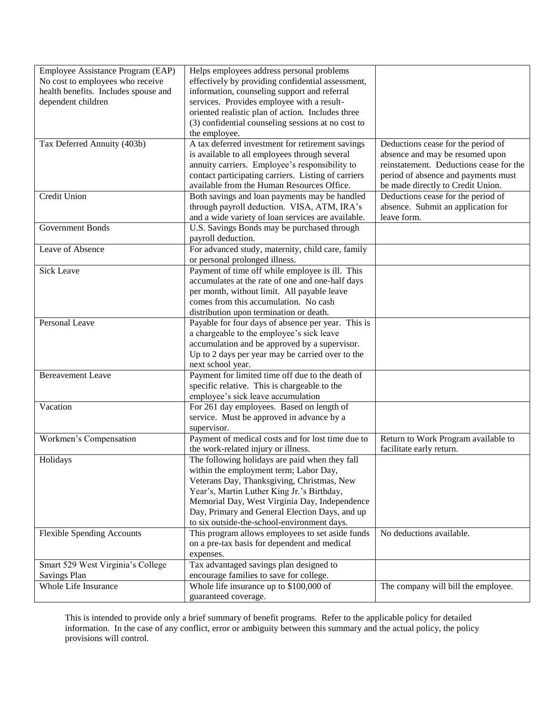| Employee Assistance Program (EAP)    | Helps employees address personal problems                                          |                                                                 |
|--------------------------------------|------------------------------------------------------------------------------------|-----------------------------------------------------------------|
| No cost to employees who receive     | effectively by providing confidential assessment,                                  |                                                                 |
| health benefits. Includes spouse and | information, counseling support and referral                                       |                                                                 |
| dependent children                   | services. Provides employee with a result-                                         |                                                                 |
|                                      | oriented realistic plan of action. Includes three                                  |                                                                 |
|                                      | (3) confidential counseling sessions at no cost to                                 |                                                                 |
|                                      | the employee.                                                                      |                                                                 |
| Tax Deferred Annuity (403b)          | A tax deferred investment for retirement savings                                   | Deductions cease for the period of                              |
|                                      | is available to all employees through several                                      | absence and may be resumed upon                                 |
|                                      | annuity carriers. Employee's responsibility to                                     | reinstatement. Deductions cease for the                         |
|                                      | contact participating carriers. Listing of carriers                                | period of absence and payments must                             |
|                                      | available from the Human Resources Office.                                         | be made directly to Credit Union.                               |
| Credit Union                         | Both savings and loan payments may be handled                                      | Deductions cease for the period of                              |
|                                      | through payroll deduction. VISA, ATM, IRA's                                        | absence. Submit an application for                              |
|                                      | and a wide variety of loan services are available.                                 | leave form.                                                     |
| <b>Government Bonds</b>              | U.S. Savings Bonds may be purchased through                                        |                                                                 |
|                                      | payroll deduction.                                                                 |                                                                 |
| Leave of Absence                     | For advanced study, maternity, child care, family                                  |                                                                 |
|                                      | or personal prolonged illness.                                                     |                                                                 |
| <b>Sick Leave</b>                    | Payment of time off while employee is ill. This                                    |                                                                 |
|                                      | accumulates at the rate of one and one-half days                                   |                                                                 |
|                                      | per month, without limit. All payable leave                                        |                                                                 |
|                                      | comes from this accumulation. No cash                                              |                                                                 |
|                                      | distribution upon termination or death.                                            |                                                                 |
| Personal Leave                       | Payable for four days of absence per year. This is                                 |                                                                 |
|                                      | a chargeable to the employee's sick leave                                          |                                                                 |
|                                      | accumulation and be approved by a supervisor.                                      |                                                                 |
|                                      | Up to 2 days per year may be carried over to the                                   |                                                                 |
|                                      | next school year.                                                                  |                                                                 |
| <b>Bereavement Leave</b>             | Payment for limited time off due to the death of                                   |                                                                 |
|                                      | specific relative. This is chargeable to the<br>employee's sick leave accumulation |                                                                 |
| Vacation                             |                                                                                    |                                                                 |
|                                      | For 261 day employees. Based on length of                                          |                                                                 |
|                                      | service. Must be approved in advance by a<br>supervisor.                           |                                                                 |
| Workmen's Compensation               | Payment of medical costs and for lost time due to                                  |                                                                 |
|                                      | the work-related injury or illness.                                                | Return to Work Program available to<br>facilitate early return. |
| Holidays                             | The following holidays are paid when they fall                                     |                                                                 |
|                                      | within the employment term; Labor Day,                                             |                                                                 |
|                                      | Veterans Day, Thanksgiving, Christmas, New                                         |                                                                 |
|                                      | Year's, Martin Luther King Jr.'s Birthday,                                         |                                                                 |
|                                      | Memorial Day, West Virginia Day, Independence                                      |                                                                 |
|                                      | Day, Primary and General Election Days, and up                                     |                                                                 |
|                                      | to six outside-the-school-environment days.                                        |                                                                 |
| <b>Flexible Spending Accounts</b>    | This program allows employees to set aside funds                                   | No deductions available.                                        |
|                                      | on a pre-tax basis for dependent and medical                                       |                                                                 |
|                                      | expenses.                                                                          |                                                                 |
| Smart 529 West Virginia's College    | Tax advantaged savings plan designed to                                            |                                                                 |
| <b>Savings Plan</b>                  | encourage families to save for college.                                            |                                                                 |
| Whole Life Insurance                 | Whole life insurance up to $$100,000$ of                                           | The company will bill the employee.                             |
|                                      | guaranteed coverage.                                                               |                                                                 |

This is intended to provide only a brief summary of benefit programs. Refer to the applicable policy for detailed information. In the case of any conflict, error or ambiguity between this summary and the actual policy, the policy provisions will control.